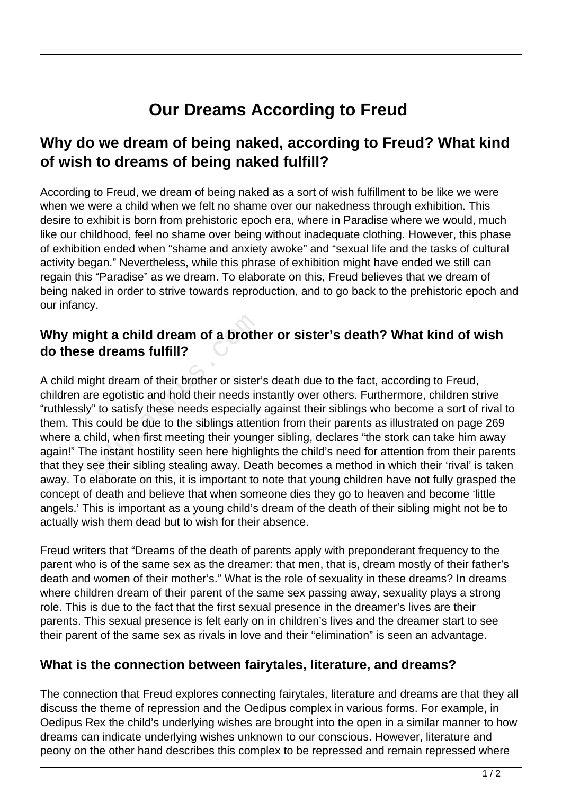# **Our Dreams According to Freud**

## **Why do we dream of being naked, according to Freud? What kind of wish to dreams of being naked fulfill?**

According to Freud, we dream of being naked as a sort of wish fulfillment to be like we were when we were a child when we felt no shame over our nakedness through exhibition. This desire to exhibit is born from prehistoric epoch era, where in Paradise where we would, much like our childhood, feel no shame over being without inadequate clothing. However, this phase of exhibition ended when "shame and anxiety awoke" and "sexual life and the tasks of cultural activity began." Nevertheless, while this phrase of exhibition might have ended we still can regain this "Paradise" as we dream. To elaborate on this, Freud believes that we dream of being naked in order to strive towards reproduction, and to go back to the prehistoric epoch and our infancy.

#### **Why might a child dream of a brother or sister's death? What kind of wish do these dreams fulfill?**

A child might dream of their brother or sister's death due to the fact, according to Freud, children are egotistic and hold their needs instantly over others. Furthermore, children strive "ruthlessly" to satisfy these needs especially against their siblings who become a sort of rival to them. This could be due to the siblings attention from their parents as illustrated on page 269 where a child, when first meeting their younger sibling, declares "the stork can take him away again!" The instant hostility seen here highlights the child's need for attention from their parents that they see their sibling stealing away. Death becomes a method in which their 'rival' is taken away. To elaborate on this, it is important to note that young children have not fully grasped the concept of death and believe that when someone dies they go to heaven and become 'little angels.' This is important as a young child's dream of the death of their sibling might not be to actually wish them dead but to wish for their absence. **shift a child dream of a broth<br>
educant of their brother or sister<br>
the dream of their brother or sister<br>
e egotistic and hold their needs in<br>
it to satisfy these needs especially<br>
could be due to the siblings attential<br>** 

Freud writers that "Dreams of the death of parents apply with preponderant frequency to the parent who is of the same sex as the dreamer: that men, that is, dream mostly of their father's death and women of their mother's." What is the role of sexuality in these dreams? In dreams where children dream of their parent of the same sex passing away, sexuality plays a strong role. This is due to the fact that the first sexual presence in the dreamer's lives are their parents. This sexual presence is felt early on in children's lives and the dreamer start to see their parent of the same sex as rivals in love and their "elimination" is seen an advantage.

#### **What is the connection between fairytales, literature, and dreams?**

The connection that Freud explores connecting fairytales, literature and dreams are that they all discuss the theme of repression and the Oedipus complex in various forms. For example, in Oedipus Rex the child's underlying wishes are brought into the open in a similar manner to how dreams can indicate underlying wishes unknown to our conscious. However, literature and peony on the other hand describes this complex to be repressed and remain repressed where